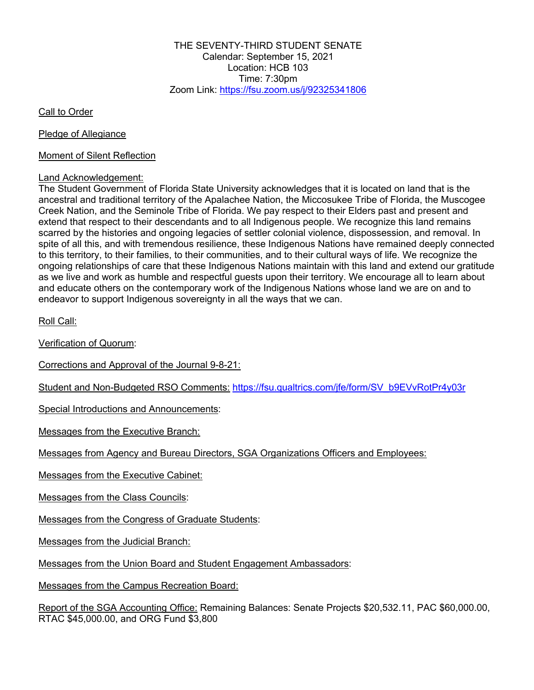THE SEVENTY-THIRD STUDENT SENATE Calendar: September 15, 2021 Location: HCB 103 Time:  $7:30$ pm Zoom Link: https://fsu.zoom.us/j/92325341806

Call to Order

Pledge of Allegiance

Moment of Silent Reflection

## Land Acknowledgement:

The Student Government of Florida State University acknowledges that it is located on land that is the ancestral and traditional territory of the Apalachee Nation, the Miccosukee Tribe of Florida, the Muscogee Creek Nation, and the Seminole Tribe of Florida. We pay respect to their Elders past and present and extend that respect to their descendants and to all Indigenous people. We recognize this land remains scarred by the histories and ongoing legacies of settler colonial violence, dispossession, and removal. In spite of all this, and with tremendous resilience, these Indigenous Nations have remained deeply connected to this territory, to their families, to their communities, and to their cultural ways of life. We recognize the ongoing relationships of care that these Indigenous Nations maintain with this land and extend our gratitude as we live and work as humble and respectful guests upon their territory. We encourage all to learn about and educate others on the contemporary work of the Indigenous Nations whose land we are on and to endeavor to support Indigenous sovereignty in all the ways that we can.

Roll Call:

Verification of Quorum:

Corrections and Approval of the Journal 9-8-21:

Student and Non-Budgeted RSO Comments: https://fsu.qualtrics.com/jfe/form/SV\_b9EVvRotPr4y03r

Special Introductions and Announcements:

Messages from the Executive Branch:

Messages from Agency and Bureau Directors, SGA Organizations Officers and Employees:

Messages from the Executive Cabinet:

Messages from the Class Councils:

Messages from the Congress of Graduate Students:

Messages from the Judicial Branch:

Messages from the Union Board and Student Engagement Ambassadors:

Messages from the Campus Recreation Board:

Report of the SGA Accounting Office: Remaining Balances: Senate Projects \$20,532.11, PAC \$60,000.00, RTAC \$45,000.00, and ORG Fund \$3,800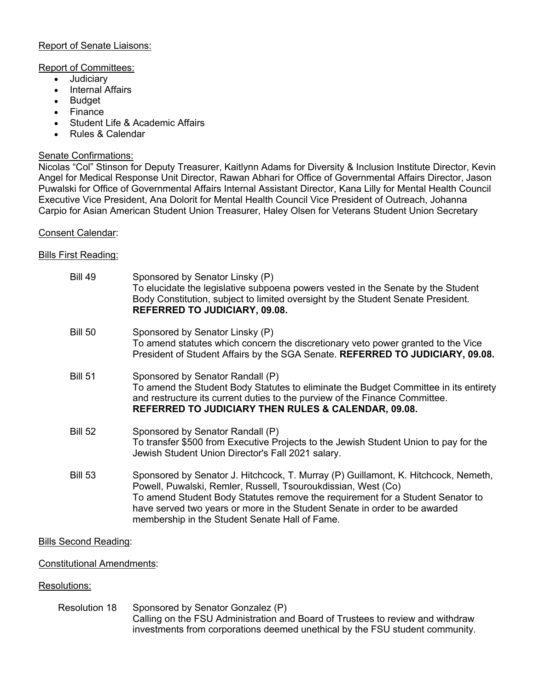## Report of Senate Liaisons:

## Report of Committees:

- Judiciary
- Internal Affairs
- Budget
- Finance
- Student Life & Academic Affairs
- Rules & Calendar

### Senate Confirmations:

Nicolas "Col" Stinson for Deputy Treasurer, Kaitlynn Adams for Diversity & Inclusion Institute Director, Kevin Angel for Medical Response Unit Director, Rawan Abhari for Office of Governmental Affairs Director, Jason Puwalski for Office of Governmental Affairs Internal Assistant Director, Kana Lilly for Mental Health Council Executive Vice President, Ana Dolorit for Mental Health Council Vice President of Outreach, Johanna Carpio for Asian American Student Union Treasurer, Haley Olsen for Veterans Student Union Secretary

### Consent Calendar:

## Bills First Reading:

| <b>Bill 49</b> | Sponsored by Senator Linsky (P)<br>To elucidate the legislative subpoena powers vested in the Senate by the Student<br>Body Constitution, subject to limited oversight by the Student Senate President.<br><b>REFERRED TO JUDICIARY, 09.08.</b>                                                                                                                       |
|----------------|-----------------------------------------------------------------------------------------------------------------------------------------------------------------------------------------------------------------------------------------------------------------------------------------------------------------------------------------------------------------------|
| <b>Bill 50</b> | Sponsored by Senator Linsky (P)<br>To amend statutes which concern the discretionary veto power granted to the Vice<br>President of Student Affairs by the SGA Senate. REFERRED TO JUDICIARY, 09.08.                                                                                                                                                                  |
| <b>Bill 51</b> | Sponsored by Senator Randall (P)<br>To amend the Student Body Statutes to eliminate the Budget Committee in its entirety<br>and restructure its current duties to the purview of the Finance Committee.<br><b>REFERRED TO JUDICIARY THEN RULES &amp; CALENDAR, 09.08.</b>                                                                                             |
| <b>Bill 52</b> | Sponsored by Senator Randall (P)<br>To transfer \$500 from Executive Projects to the Jewish Student Union to pay for the<br>Jewish Student Union Director's Fall 2021 salary.                                                                                                                                                                                         |
| <b>Bill 53</b> | Sponsored by Senator J. Hitchcock, T. Murray (P) Guillamont, K. Hitchcock, Nemeth,<br>Powell, Puwalski, Remler, Russell, Tsouroukdissian, West (Co)<br>To amend Student Body Statutes remove the requirement for a Student Senator to<br>have served two years or more in the Student Senate in order to be awarded<br>membership in the Student Senate Hall of Fame. |

#### Bills Second Reading:

Constitutional Amendments:

## Resolutions:

Resolution 18 Sponsored by Senator Gonzalez (P) Calling on the FSU Administration and Board of Trustees to review and withdraw investments from corporations deemed unethical by the FSU student community.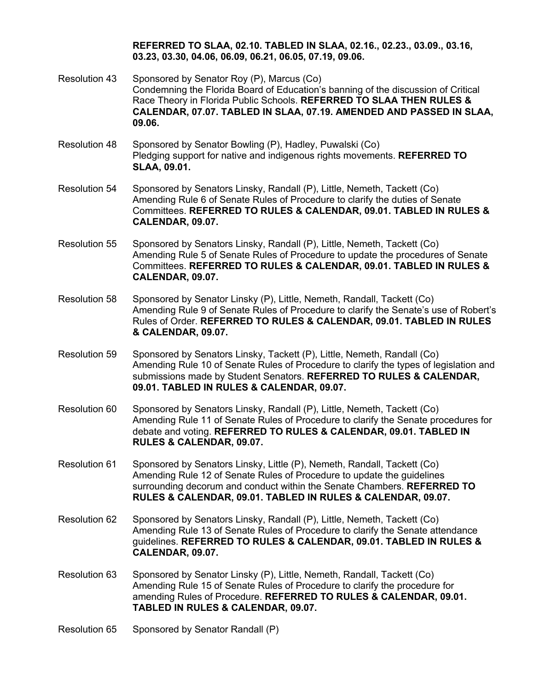**REFERRED TO SLAA, 02.10. TABLED IN SLAA, 02.16., 02.23., 03.09., 03.16, 03.23, 03.30, 04.06, 06.09, 06.21, 06.05, 07.19, 09.06.**

- Resolution 43 Sponsored by Senator Roy (P), Marcus (Co) Condemning the Florida Board of Education's banning of the discussion of Critical Race Theory in Florida Public Schools. **REFERRED TO SLAA THEN RULES & CALENDAR, 07.07. TABLED IN SLAA, 07.19. AMENDED AND PASSED IN SLAA, 09.06.**
- Resolution 48 Sponsored by Senator Bowling (P), Hadley, Puwalski (Co) Pledging support for native and indigenous rights movements. **REFERRED TO SLAA, 09.01.**
- Resolution 54 Sponsored by Senators Linsky, Randall (P), Little, Nemeth, Tackett (Co) Amending Rule 6 of Senate Rules of Procedure to clarify the duties of Senate Committees. **REFERRED TO RULES & CALENDAR, 09.01. TABLED IN RULES & CALENDAR, 09.07.**
- Resolution 55 Sponsored by Senators Linsky, Randall (P), Little, Nemeth, Tackett (Co) Amending Rule 5 of Senate Rules of Procedure to update the procedures of Senate Committees. **REFERRED TO RULES & CALENDAR, 09.01. TABLED IN RULES & CALENDAR, 09.07.**
- Resolution 58 Sponsored by Senator Linsky (P), Little, Nemeth, Randall, Tackett (Co) Amending Rule 9 of Senate Rules of Procedure to clarify the Senate's use of Robert's Rules of Order. **REFERRED TO RULES & CALENDAR, 09.01. TABLED IN RULES & CALENDAR, 09.07.**
- Resolution 59 Sponsored by Senators Linsky, Tackett (P), Little, Nemeth, Randall (Co) Amending Rule 10 of Senate Rules of Procedure to clarify the types of legislation and submissions made by Student Senators. **REFERRED TO RULES & CALENDAR, 09.01. TABLED IN RULES & CALENDAR, 09.07.**
- Resolution 60 Sponsored by Senators Linsky, Randall (P), Little, Nemeth, Tackett (Co) Amending Rule 11 of Senate Rules of Procedure to clarify the Senate procedures for debate and voting. **REFERRED TO RULES & CALENDAR, 09.01. TABLED IN RULES & CALENDAR, 09.07.**
- Resolution 61 Sponsored by Senators Linsky, Little (P), Nemeth, Randall, Tackett (Co) Amending Rule 12 of Senate Rules of Procedure to update the guidelines surrounding decorum and conduct within the Senate Chambers. **REFERRED TO RULES & CALENDAR, 09.01. TABLED IN RULES & CALENDAR, 09.07.**
- Resolution 62 Sponsored by Senators Linsky, Randall (P), Little, Nemeth, Tackett (Co) Amending Rule 13 of Senate Rules of Procedure to clarify the Senate attendance guidelines. **REFERRED TO RULES & CALENDAR, 09.01. TABLED IN RULES & CALENDAR, 09.07.**
- Resolution 63 Sponsored by Senator Linsky (P), Little, Nemeth, Randall, Tackett (Co) Amending Rule 15 of Senate Rules of Procedure to clarify the procedure for amending Rules of Procedure. **REFERRED TO RULES & CALENDAR, 09.01. TABLED IN RULES & CALENDAR, 09.07.**
- Resolution 65 Sponsored by Senator Randall (P)